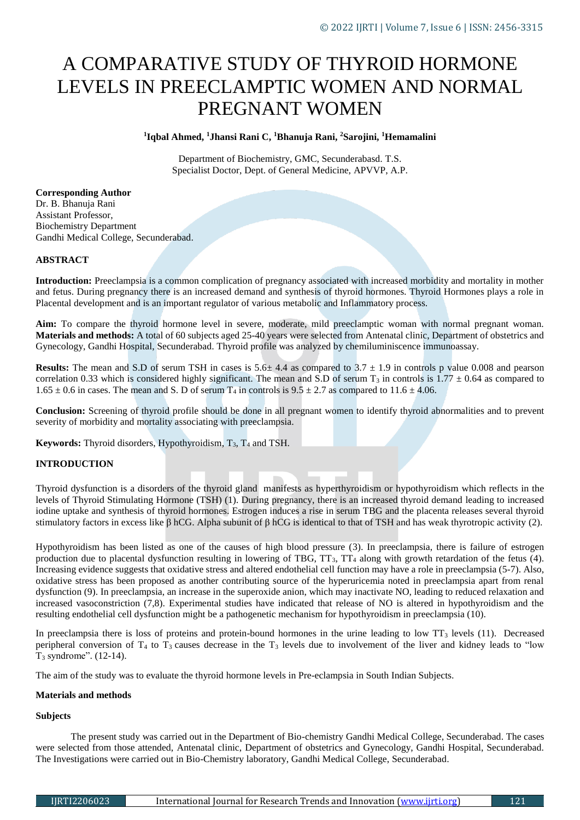# A COMPARATIVE STUDY OF THYROID HORMONE LEVELS IN PREECLAMPTIC WOMEN AND NORMAL PREGNANT WOMEN

# **1 Iqbal Ahmed, <sup>1</sup>Jhansi Rani C, <sup>1</sup>Bhanuja Rani, <sup>2</sup>Sarojini, <sup>1</sup>Hemamalini**

Department of Biochemistry, GMC, Secunderabasd. T.S. Specialist Doctor, Dept. of General Medicine, APVVP, A.P.

**Corresponding Author** Dr. B. Bhanuja Rani Assistant Professor, Biochemistry Department Gandhi Medical College, Secunderabad.

# **ABSTRACT**

**Introduction:** Preeclampsia is a common complication of pregnancy associated with increased morbidity and mortality in mother and fetus. During pregnancy there is an increased demand and synthesis of thyroid hormones. Thyroid Hormones plays a role in Placental development and is an important regulator of various metabolic and Inflammatory process.

**Aim:** To compare the thyroid hormone level in severe, moderate, mild preeclamptic woman with normal pregnant woman. **Materials and methods:** A total of 60 subjects aged 25-40 years were selected from Antenatal clinic, Department of obstetrics and Gynecology, Gandhi Hospital, Secunderabad. Thyroid profile was analyzed by chemiluminiscence immunoassay.

**Results:** The mean and S.D of serum TSH in cases is  $5.6 \pm 4.4$  as compared to  $3.7 \pm 1.9$  in controls p value 0.008 and pearson correlation 0.33 which is considered highly significant. The mean and S.D of serum T<sub>3</sub> in controls is  $1.77 \pm 0.64$  as compared to  $1.65 \pm 0.6$  in cases. The mean and S. D of serum T<sub>4</sub> in controls is  $9.5 \pm 2.7$  as compared to  $11.6 \pm 4.06$ .

**Conclusion:** Screening of thyroid profile should be done in all pregnant women to identify thyroid abnormalities and to prevent severity of morbidity and mortality associating with preeclampsia.

**Keywords:** Thyroid disorders, Hypothyroidism,  $T_3$ ,  $T_4$  and TSH.

# **INTRODUCTION**

Thyroid dysfunction is a disorders of the thyroid gland manifests as hyperthyroidism or hypothyroidism which reflects in the levels of Thyroid Stimulating Hormone (TSH) (1). During pregnancy, there is an increased thyroid demand leading to increased iodine uptake and synthesis of thyroid hormones. Estrogen induces a rise in serum TBG and the placenta releases several thyroid stimulatory factors in excess like β hCG. Alpha subunit of β hCG is identical to that of TSH and has weak thyrotropic activity [\(2\)](https://www.ncbi.nlm.nih.gov/pmc/articles/PMC3939122/#b1-jtgga-10-3-168).

Hypothyroidism has been listed as one of the causes of high blood pressure [\(3\)](https://www.ncbi.nlm.nih.gov/pmc/articles/PMC3939122/#b2-jtgga-10-3-168). In preeclampsia, there is failure of estrogen production due to placental dysfunction resulting in lowering of TBG, TT<sub>3</sub>, TT<sub>4</sub> along with growth retardation of the fetus (4). Increasing evidence suggests that oxidative stress and altered endothelial cell function may have a role in preeclampsia (5-7). Also, oxidative stress has been proposed as another contributing source of the hyperuricemia noted in preeclampsia apart from renal dysfunction (9). In preeclampsia, an increase in the superoxide anion, which may inactivate NO, leading to reduced relaxation and increased vasoconstriction (7,8). Experimental studies have indicated that release of NO is altered in hypothyroidism and the resulting endothelial cell dysfunction might be a pathogenetic mechanism for hypothyroidism in preeclampsia [\(10\)](https://www.ncbi.nlm.nih.gov/pmc/articles/PMC3939122/#b9-jtgga-10-3-168).

In preeclampsia there is loss of proteins and protein-bound hormones in the urine leading to low  $TT_3$  levels (11). Decreased peripheral conversion of  $T_4$  to  $T_3$  causes decrease in the  $T_3$  levels due to involvement of the liver and kidney leads to "low" T<sup>3</sup> syndrome". (12-14).

The aim of the study was to evaluate the thyroid hormone levels in Pre-eclampsia in South Indian Subjects.

#### **Materials and methods**

#### **Subjects**

The present study was carried out in the Department of Bio-chemistry Gandhi Medical College, Secunderabad. The cases were selected from those attended, Antenatal clinic, Department of obstetrics and Gynecology, Gandhi Hospital, Secunderabad. The Investigations were carried out in Bio-Chemistry laboratory, Gandhi Medical College, Secunderabad.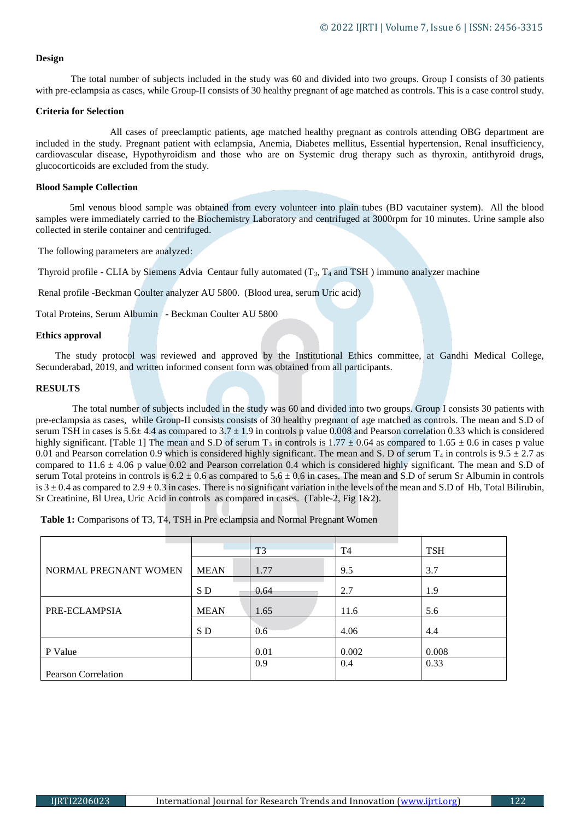#### **Design**

The total number of subjects included in the study was 60 and divided into two groups. Group Ι consists of 30 patients with pre-eclampsia as cases, while Group-II consists of 30 healthy pregnant of age matched as controls. This is a case control study.

## **Criteria for Selection**

 All cases of preeclamptic patients, age matched healthy pregnant as controls attending OBG department are included in the study. Pregnant patient with eclampsia, Anemia, Diabetes mellitus, Essential hypertension, Renal insufficiency, cardiovascular disease, Hypothyroidism and those who are on Systemic drug therapy such as thyroxin, antithyroid drugs, glucocorticoids are excluded from the study.

## **Blood Sample Collection**

5ml venous blood sample was obtained from every volunteer into plain tubes (BD vacutainer system). All the blood samples were immediately carried to the Biochemistry Laboratory and centrifuged at 3000rpm for 10 minutes. Urine sample also collected in sterile container and centrifuged.

The following parameters are analyzed:

Thyroid profile - CLIA by Siemens Advia Centaur fully automated  $(T_3, T_4$  and TSH) immuno analyzer machine

Renal profile -Beckman Coulter analyzer AU 5800. (Blood urea, serum Uric acid)

Total Proteins, Serum Albumin - Beckman Coulter AU 5800

## **Ethics approval**

 The study protocol was reviewed and approved by the Institutional Ethics committee, at Gandhi Medical College, Secunderabad, 2019, and written informed consent form was obtained from all participants.

## **RESULTS**

 The total number of subjects included in the study was 60 and divided into two groups. Group Ι consists 30 patients with pre-eclampsia as cases, while Group-ΙΙ consists consists of 30 healthy pregnant of age matched as controls. The mean and S.D of serum TSH in cases is  $5.6\pm 4.4$  as compared to  $3.7\pm 1.9$  in controls p value 0.008 and Pearson correlation 0.33 which is considered highly significant. [Table 1] The mean and S.D of serum T<sub>3</sub> in controls is  $1.77 \pm 0.64$  as compared to  $1.65 \pm 0.6$  in cases p value 0.01 and Pearson correlation 0.9 which is considered highly significant. The mean and S. D of serum  $T_4$  in controls is 9.5  $\pm$  2.7 as compared to  $11.6 \pm 4.06$  p value 0.02 and Pearson correlation 0.4 which is considered highly significant. The mean and S.D of serum Total proteins in controls is  $6.2 \pm 0.6$  as compared to  $5.6 \pm 0.6$  in cases. The mean and S.D of serum Sr Albumin in controls is  $3 \pm 0.4$  as compared to  $2.9 \pm 0.3$  in cases. There is no significant variation in the levels of the mean and S.D of Hb, Total Bilirubin, Sr Creatinine, Bl Urea, Uric Acid in controls as compared in cases. (Table-2, Fig 1&2).

 **Table 1:** Comparisons of T3, T4, TSH in Pre eclampsia and Normal Pregnant Women

|                       |             | T <sub>3</sub> | T <sub>4</sub> | <b>TSH</b> |
|-----------------------|-------------|----------------|----------------|------------|
|                       |             |                |                |            |
| NORMAL PREGNANT WOMEN | <b>MEAN</b> | 1.77           | 9.5            | 3.7        |
|                       | S D         | 0.64           | 2.7            | 1.9        |
| PRE-ECLAMPSIA         | <b>MEAN</b> | 1.65           | 11.6           | 5.6        |
|                       | S D         | 0.6            | 4.06           | 4.4        |
| P Value               |             | 0.01           | 0.002          | 0.008      |
|                       |             | 0.9            | 0.4            | 0.33       |
| Pearson Correlation   |             |                |                |            |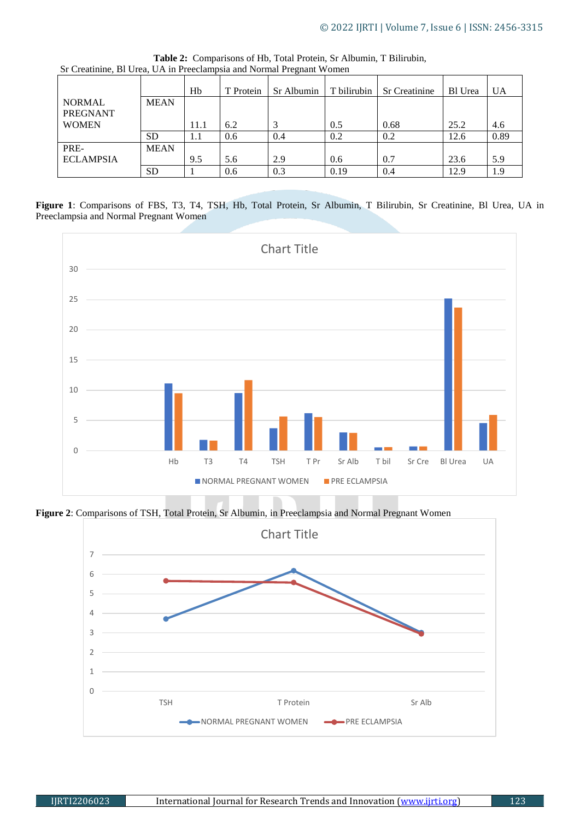|                                  |             | Hb   | T Protein | Sr Albumin | l T bilirubin | <b>Sr Creatinine</b> | <b>Bl</b> Urea | <b>UA</b> |
|----------------------------------|-------------|------|-----------|------------|---------------|----------------------|----------------|-----------|
| <b>NORMAL</b><br><b>PREGNANT</b> | <b>MEAN</b> |      |           |            |               |                      |                |           |
| <b>WOMEN</b>                     |             | 11.1 | 6.2       |            | 0.5           | 0.68                 | 25.2           | 4.6       |
|                                  | <b>SD</b>   | 1.1  | 0.6       | 0.4        | 0.2           | 0.2                  | 12.6           | 0.89      |
| PRE-                             | <b>MEAN</b> |      |           |            |               |                      |                |           |
| <b>ECLAMPSIA</b>                 |             | 9.5  | 5.6       | 2.9        | 0.6           | 0.7                  | 23.6           | 5.9       |
|                                  | <b>SD</b>   |      | 0.6       | 0.3        | 0.19          | 0.4                  | 12.9           | 1.9       |

**Table 2:** Comparisons of Hb, Total Protein, Sr Albumin, T Bilirubin, Sr Creatinine, Bl Urea, UA in Preeclampsia and Normal Pregnant Women

**Figure 1**: Comparisons of FBS, T3, T4, TSH, Hb, Total Protein, Sr Albumin, T Bilirubin, Sr Creatinine, Bl Urea, UA in Preeclampsia and Normal Pregnant Women



**Figure 2**: Comparisons of TSH, Total Protein, Sr Albumin, in Preeclampsia and Normal Pregnant Women

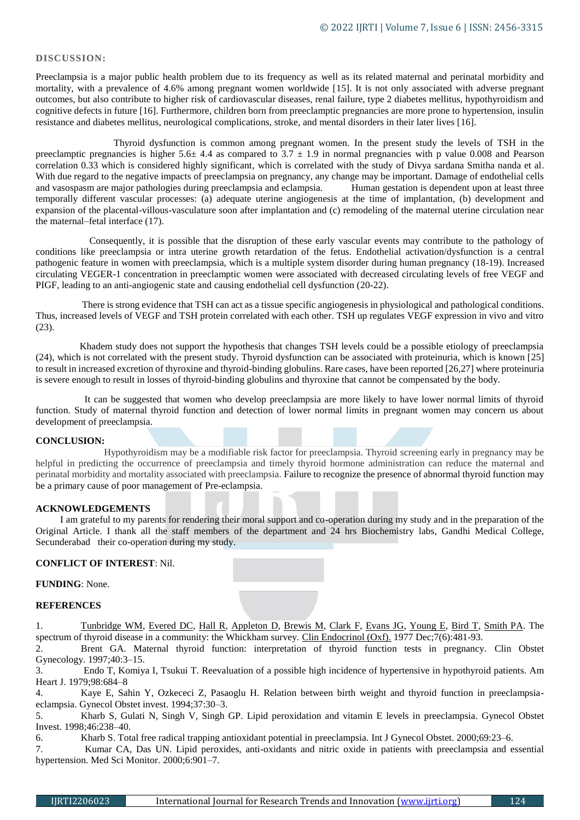## **DISCUSSION:**

Preeclampsia is a major public health problem due to its frequency as well as its related maternal and perinatal morbidity and mortality, with a prevalence of 4.6% among pregnant women worldwide [\[15\]](https://bmcpregnancychildbirth.biomedcentral.com/articles/10.1186/s12884-020-2805-6#ref-CR1). It is not only associated with adverse pregnant outcomes, but also contribute to higher risk of cardiovascular diseases, renal failure, type 2 diabetes mellitus, hypothyroidism and cognitive defects in future [16]. Furthermore, children born from preeclamptic pregnancies are more prone to hypertension, insulin resistance and diabetes mellitus, neurological complications, stroke, and mental disorders in their later lives [16].

 Thyroid dysfunction is common among pregnant women. In the present study the levels of TSH in the preeclamptic pregnancies is higher  $5.6 \pm 4.4$  as compared to  $3.7 \pm 1.9$  in normal pregnancies with p value 0.008 and Pearson correlation 0.33 which is considered highly significant, which is correlated with the study of Divya sardana Smitha nanda et al. With due regard to the negative impacts of preeclampsia on pregnancy, any change may be important. Damage of endothelial cells and vasospasm are major pathologies during preeclampsia and eclampsia. Human gestation is dependent upon at least three temporally different vascular processes: (a) adequate uterine angiogenesis at the time of implantation, (b) development and expansion of the placental-villous-vasculature soon after implantation and (c) remodeling of the maternal uterine circulation near the maternal–fetal interface [\(17\)](https://www.ncbi.nlm.nih.gov/pmc/articles/PMC4154275/#R04).

 Consequently, it is possible that the disruption of these early vascular events may contribute to the pathology of conditions like preeclampsia or intra uterine growth retardation of the fetus. Endothelial activation/dysfunction is a central pathogenic feature in women with preeclampsia, which is a multiple system disorder during human pregnancy (18-19). Increased circulating VEGER-1 concentration in preeclamptic women were associated with decreased circulating levels of free VEGF and PIGF, leading to an anti-angiogenic state and causing endothelial cell dysfunction (20-22).

 There is strong evidence that TSH can act as a tissue specific angiogenesis in physiological and pathological conditions. Thus, increased levels of VEGF and TSH protein correlated with each other. TSH up regulates VEGF expression in vivo and vitro (23).

 Khadem study does not support the hypothesis that changes TSH levels could be a possible etiology of preeclampsia (24), which is not correlated with the present study. Thyroid dysfunction can be associated with proteinuria, which is known [25] to result in increased excretion of thyroxine and thyroid-binding globulins. Rare cases, have been reported [26,27] where proteinuria is severe enough to result in losses of thyroid-binding globulins and thyroxine that cannot be compensated by the body.

 It can be suggested that women who develop preeclampsia are more likely to have lower normal limits of thyroid function. Study of maternal thyroid function and detection of lower normal limits in pregnant women may concern us about development of preeclampsia.

## **CONCLUSION:**

 Hypothyroidism may be a modifiable risk factor for preeclampsia. Thyroid screening early in pregnancy may be helpful in predicting the occurrence of preeclampsia and timely thyroid hormone administration can reduce the maternal and perinatal morbidity and mortality associated with preeclampsia. Failure to recognize the presence of abnormal thyroid function may be a primary cause of poor management of Pre-eclampsia.

#### **ACKNOWLEDGEMENTS**

 I am grateful to my parents for rendering their moral support and co-operation during my study and in the preparation of the Original Article. I thank all the staff members of the department and 24 hrs Biochemistry labs, Gandhi Medical College, Secunderabad their co-operation during my study.

# **CONFLICT OF INTEREST**: Nil.

**FUNDING**: None.

# **REFERENCES**

1. [Tunbridge WM,](https://www.ncbi.nlm.nih.gov/pubmed/?term=Tunbridge%20WM%5BAuthor%5D&cauthor=true&cauthor_uid=598014) [Evered DC,](https://www.ncbi.nlm.nih.gov/pubmed/?term=Evered%20DC%5BAuthor%5D&cauthor=true&cauthor_uid=598014) [Hall R,](https://www.ncbi.nlm.nih.gov/pubmed/?term=Hall%20R%5BAuthor%5D&cauthor=true&cauthor_uid=598014) [Appleton D,](https://www.ncbi.nlm.nih.gov/pubmed/?term=Appleton%20D%5BAuthor%5D&cauthor=true&cauthor_uid=598014) [Brewis M,](https://www.ncbi.nlm.nih.gov/pubmed/?term=Brewis%20M%5BAuthor%5D&cauthor=true&cauthor_uid=598014) [Clark F,](https://www.ncbi.nlm.nih.gov/pubmed/?term=Clark%20F%5BAuthor%5D&cauthor=true&cauthor_uid=598014) [Evans JG,](https://www.ncbi.nlm.nih.gov/pubmed/?term=Evans%20JG%5BAuthor%5D&cauthor=true&cauthor_uid=598014) [Young E,](https://www.ncbi.nlm.nih.gov/pubmed/?term=Young%20E%5BAuthor%5D&cauthor=true&cauthor_uid=598014) [Bird T,](https://www.ncbi.nlm.nih.gov/pubmed/?term=Bird%20T%5BAuthor%5D&cauthor=true&cauthor_uid=598014) [Smith PA.](https://www.ncbi.nlm.nih.gov/pubmed/?term=Smith%20PA%5BAuthor%5D&cauthor=true&cauthor_uid=598014) The spectrum of thyroid disease in a community: the Whickham survey. [Clin Endocrinol \(Oxf\).](https://www.ncbi.nlm.nih.gov/pubmed/598014) 1977 Dec;7(6):481-93.

2. Brent GA. Maternal thyroid function: interpretation of thyroid function tests in pregnancy. Clin Obstet Gynecology. 1997;40:3–15.

3. Endo T, Komiya I, Tsukui T. Reevaluation of a possible high incidence of hypertensive in hypothyroid patients. Am Heart J. 1979;98:684–8

4. Kaye E, Sahin Y, Ozkececi Z, Pasaoglu H. Relation between birth weight and thyroid function in preeclampsiaeclampsia. Gynecol Obstet invest. 1994;37:30–3.

5. Kharb S, Gulati N, Singh V, Singh GP. Lipid peroxidation and vitamin E levels in preeclampsia. Gynecol Obstet Invest. 1998;46:238–40.

6. Kharb S. Total free radical trapping antioxidant potential in preeclampsia. Int J Gynecol Obstet. 2000;69:23–6.

7. Kumar CA, Das UN. Lipid peroxides, anti-oxidants and nitric oxide in patients with preeclampsia and essential hypertension. Med Sci Monitor. 2000;6:901–7.